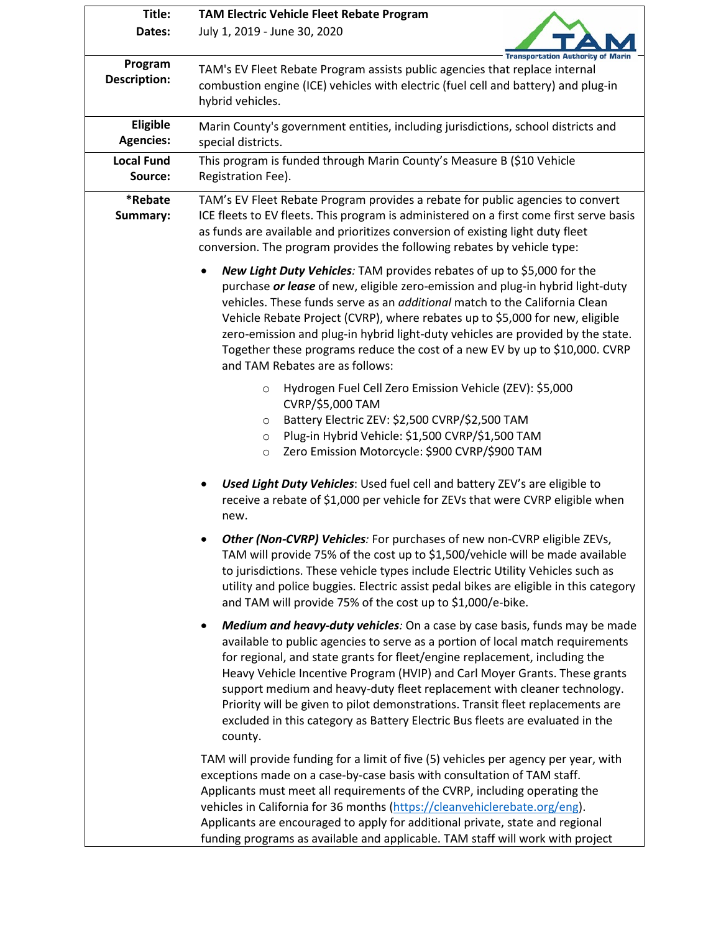| Title:                         | <b>TAM Electric Vehicle Fleet Rebate Program</b>                                                                                                                                                                                                                                                                                                                                                                                                                                                                                                                                                |  |  |  |  |  |
|--------------------------------|-------------------------------------------------------------------------------------------------------------------------------------------------------------------------------------------------------------------------------------------------------------------------------------------------------------------------------------------------------------------------------------------------------------------------------------------------------------------------------------------------------------------------------------------------------------------------------------------------|--|--|--|--|--|
| Dates:                         | July 1, 2019 - June 30, 2020<br><b>Transportation Authority of Marin</b>                                                                                                                                                                                                                                                                                                                                                                                                                                                                                                                        |  |  |  |  |  |
| Program<br><b>Description:</b> | TAM's EV Fleet Rebate Program assists public agencies that replace internal<br>combustion engine (ICE) vehicles with electric (fuel cell and battery) and plug-in<br>hybrid vehicles.                                                                                                                                                                                                                                                                                                                                                                                                           |  |  |  |  |  |
| Eligible<br><b>Agencies:</b>   | Marin County's government entities, including jurisdictions, school districts and<br>special districts.                                                                                                                                                                                                                                                                                                                                                                                                                                                                                         |  |  |  |  |  |
| <b>Local Fund</b><br>Source:   | This program is funded through Marin County's Measure B (\$10 Vehicle<br>Registration Fee).                                                                                                                                                                                                                                                                                                                                                                                                                                                                                                     |  |  |  |  |  |
| *Rebate<br>Summary:            | TAM's EV Fleet Rebate Program provides a rebate for public agencies to convert<br>ICE fleets to EV fleets. This program is administered on a first come first serve basis<br>as funds are available and prioritizes conversion of existing light duty fleet<br>conversion. The program provides the following rebates by vehicle type:                                                                                                                                                                                                                                                          |  |  |  |  |  |
|                                | New Light Duty Vehicles: TAM provides rebates of up to \$5,000 for the<br>$\bullet$<br>purchase or lease of new, eligible zero-emission and plug-in hybrid light-duty<br>vehicles. These funds serve as an <i>additional</i> match to the California Clean<br>Vehicle Rebate Project (CVRP), where rebates up to \$5,000 for new, eligible<br>zero-emission and plug-in hybrid light-duty vehicles are provided by the state.<br>Together these programs reduce the cost of a new EV by up to \$10,000. CVRP<br>and TAM Rebates are as follows:                                                 |  |  |  |  |  |
|                                | Hydrogen Fuel Cell Zero Emission Vehicle (ZEV): \$5,000<br>$\circ$<br>CVRP/\$5,000 TAM<br>Battery Electric ZEV: \$2,500 CVRP/\$2,500 TAM<br>$\circ$<br>Plug-in Hybrid Vehicle: \$1,500 CVRP/\$1,500 TAM<br>$\circ$<br>Zero Emission Motorcycle: \$900 CVRP/\$900 TAM<br>$\circ$                                                                                                                                                                                                                                                                                                                 |  |  |  |  |  |
|                                | Used Light Duty Vehicles: Used fuel cell and battery ZEV's are eligible to<br>receive a rebate of \$1,000 per vehicle for ZEVs that were CVRP eligible when<br>new.                                                                                                                                                                                                                                                                                                                                                                                                                             |  |  |  |  |  |
|                                | Other (Non-CVRP) Vehicles: For purchases of new non-CVRP eligible ZEVs,<br>TAM will provide 75% of the cost up to \$1,500/vehicle will be made available<br>to jurisdictions. These vehicle types include Electric Utility Vehicles such as<br>utility and police buggies. Electric assist pedal bikes are eligible in this category<br>and TAM will provide 75% of the cost up to \$1,000/e-bike.                                                                                                                                                                                              |  |  |  |  |  |
|                                | Medium and heavy-duty vehicles: On a case by case basis, funds may be made<br>$\bullet$<br>available to public agencies to serve as a portion of local match requirements<br>for regional, and state grants for fleet/engine replacement, including the<br>Heavy Vehicle Incentive Program (HVIP) and Carl Moyer Grants. These grants<br>support medium and heavy-duty fleet replacement with cleaner technology.<br>Priority will be given to pilot demonstrations. Transit fleet replacements are<br>excluded in this category as Battery Electric Bus fleets are evaluated in the<br>county. |  |  |  |  |  |
|                                | TAM will provide funding for a limit of five (5) vehicles per agency per year, with<br>exceptions made on a case-by-case basis with consultation of TAM staff.<br>Applicants must meet all requirements of the CVRP, including operating the<br>vehicles in California for 36 months (https://cleanvehiclerebate.org/eng).<br>Applicants are encouraged to apply for additional private, state and regional<br>funding programs as available and applicable. TAM staff will work with project                                                                                                   |  |  |  |  |  |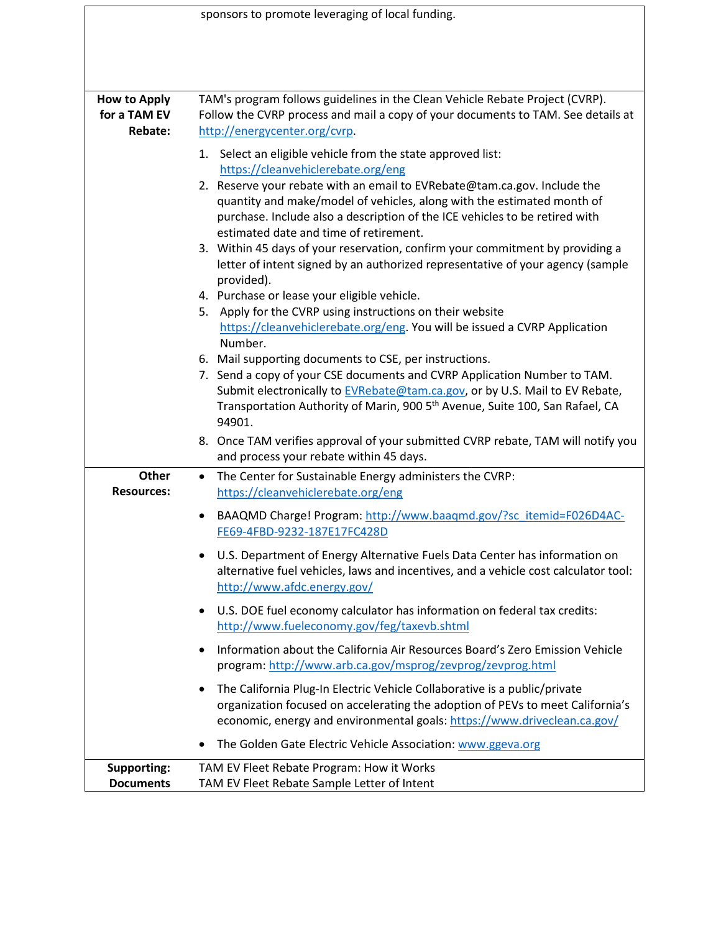| sponsors to promote leveraging of local funding.      |                                                                                                                                                                                                                                                                                                                                                                                                                                                                                                                                                                                                                                                                                                                                                                                                                                                                                                                                                                                                                                                                                                  |  |  |  |
|-------------------------------------------------------|--------------------------------------------------------------------------------------------------------------------------------------------------------------------------------------------------------------------------------------------------------------------------------------------------------------------------------------------------------------------------------------------------------------------------------------------------------------------------------------------------------------------------------------------------------------------------------------------------------------------------------------------------------------------------------------------------------------------------------------------------------------------------------------------------------------------------------------------------------------------------------------------------------------------------------------------------------------------------------------------------------------------------------------------------------------------------------------------------|--|--|--|
|                                                       |                                                                                                                                                                                                                                                                                                                                                                                                                                                                                                                                                                                                                                                                                                                                                                                                                                                                                                                                                                                                                                                                                                  |  |  |  |
| <b>How to Apply</b><br>for a TAM EV<br><b>Rebate:</b> | TAM's program follows guidelines in the Clean Vehicle Rebate Project (CVRP).<br>Follow the CVRP process and mail a copy of your documents to TAM. See details at<br>http://energycenter.org/cvrp.                                                                                                                                                                                                                                                                                                                                                                                                                                                                                                                                                                                                                                                                                                                                                                                                                                                                                                |  |  |  |
|                                                       | 1. Select an eligible vehicle from the state approved list:<br>https://cleanvehiclerebate.org/eng<br>2. Reserve your rebate with an email to EVRebate@tam.ca.gov. Include the<br>quantity and make/model of vehicles, along with the estimated month of<br>purchase. Include also a description of the ICE vehicles to be retired with<br>estimated date and time of retirement.<br>3. Within 45 days of your reservation, confirm your commitment by providing a<br>letter of intent signed by an authorized representative of your agency (sample<br>provided).<br>4. Purchase or lease your eligible vehicle.<br>5. Apply for the CVRP using instructions on their website<br>https://cleanvehiclerebate.org/eng. You will be issued a CVRP Application<br>Number.<br>6. Mail supporting documents to CSE, per instructions.<br>7. Send a copy of your CSE documents and CVRP Application Number to TAM.<br>Submit electronically to EVRebate@tam.ca.gov, or by U.S. Mail to EV Rebate,<br>Transportation Authority of Marin, 900 5 <sup>th</sup> Avenue, Suite 100, San Rafael, CA<br>94901. |  |  |  |
|                                                       | 8. Once TAM verifies approval of your submitted CVRP rebate, TAM will notify you<br>and process your rebate within 45 days.                                                                                                                                                                                                                                                                                                                                                                                                                                                                                                                                                                                                                                                                                                                                                                                                                                                                                                                                                                      |  |  |  |
| Other<br><b>Resources:</b>                            | The Center for Sustainable Energy administers the CVRP:<br>$\bullet$<br>https://cleanvehiclerebate.org/eng                                                                                                                                                                                                                                                                                                                                                                                                                                                                                                                                                                                                                                                                                                                                                                                                                                                                                                                                                                                       |  |  |  |
|                                                       | BAAQMD Charge! Program: http://www.baaqmd.gov/?sc itemid=F026D4AC-<br>FE69-4FBD-9232-187E17FC428D                                                                                                                                                                                                                                                                                                                                                                                                                                                                                                                                                                                                                                                                                                                                                                                                                                                                                                                                                                                                |  |  |  |
|                                                       | U.S. Department of Energy Alternative Fuels Data Center has information on<br>alternative fuel vehicles, laws and incentives, and a vehicle cost calculator tool:<br>http://www.afdc.energy.gov/                                                                                                                                                                                                                                                                                                                                                                                                                                                                                                                                                                                                                                                                                                                                                                                                                                                                                                 |  |  |  |
|                                                       | U.S. DOE fuel economy calculator has information on federal tax credits:<br>٠<br>http://www.fueleconomy.gov/feg/taxevb.shtml                                                                                                                                                                                                                                                                                                                                                                                                                                                                                                                                                                                                                                                                                                                                                                                                                                                                                                                                                                     |  |  |  |
|                                                       | Information about the California Air Resources Board's Zero Emission Vehicle<br>$\bullet$<br>program: http://www.arb.ca.gov/msprog/zevprog/zevprog.html                                                                                                                                                                                                                                                                                                                                                                                                                                                                                                                                                                                                                                                                                                                                                                                                                                                                                                                                          |  |  |  |
|                                                       | The California Plug-In Electric Vehicle Collaborative is a public/private<br>٠<br>organization focused on accelerating the adoption of PEVs to meet California's<br>economic, energy and environmental goals: https://www.driveclean.ca.gov/                                                                                                                                                                                                                                                                                                                                                                                                                                                                                                                                                                                                                                                                                                                                                                                                                                                     |  |  |  |
|                                                       | The Golden Gate Electric Vehicle Association: www.ggeva.org                                                                                                                                                                                                                                                                                                                                                                                                                                                                                                                                                                                                                                                                                                                                                                                                                                                                                                                                                                                                                                      |  |  |  |
| <b>Supporting:</b><br><b>Documents</b>                | TAM EV Fleet Rebate Program: How it Works<br>TAM EV Fleet Rebate Sample Letter of Intent                                                                                                                                                                                                                                                                                                                                                                                                                                                                                                                                                                                                                                                                                                                                                                                                                                                                                                                                                                                                         |  |  |  |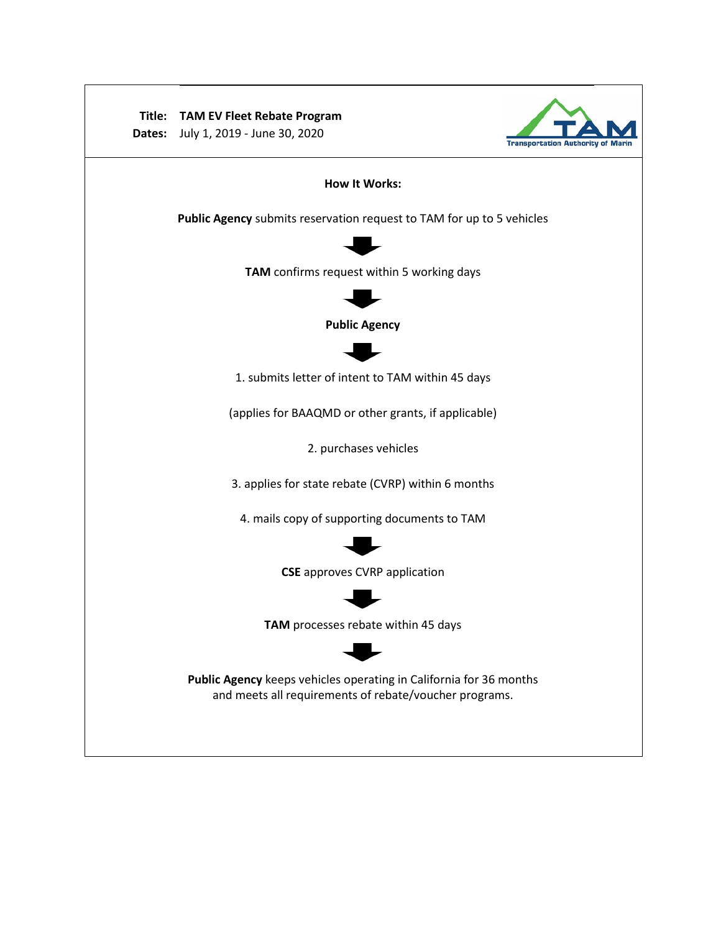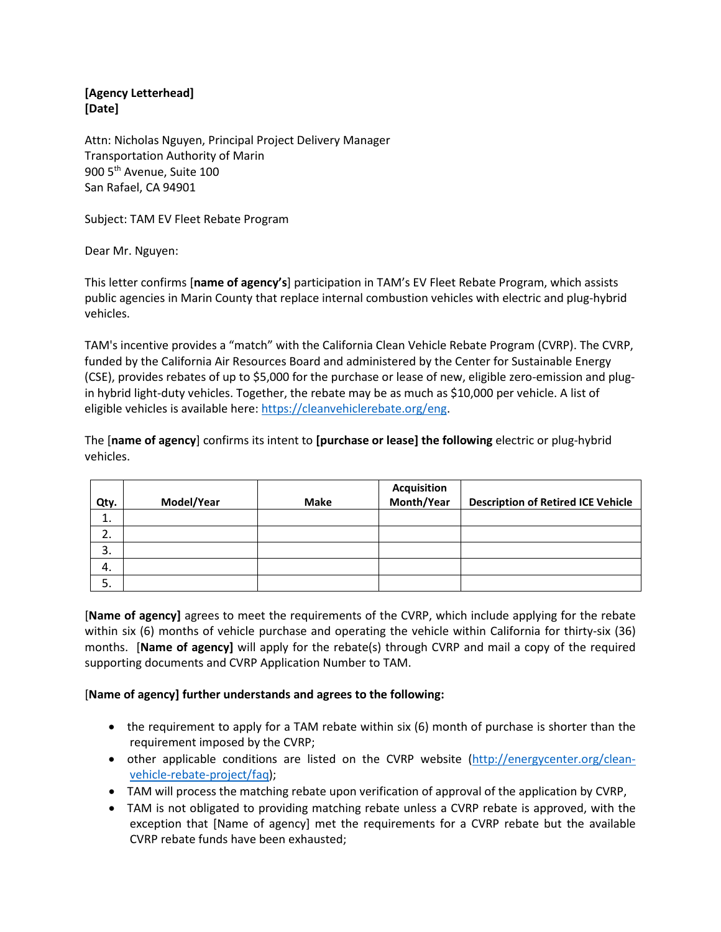**[Agency Letterhead] [Date]**

Attn: Nicholas Nguyen, Principal Project Delivery Manager Transportation Authority of Marin 900 5<sup>th</sup> Avenue, Suite 100 San Rafael, CA 94901

Subject: TAM EV Fleet Rebate Program

Dear Mr. Nguyen:

This letter confirms [**name of agency's**] participation in TAM's EV Fleet Rebate Program, which assists public agencies in Marin County that replace internal combustion vehicles with electric and plug-hybrid vehicles.

TAM's incentive provides a "match" with the California Clean Vehicle Rebate Program (CVRP). The CVRP, funded by the California Air Resources Board and administered by the Center for Sustainable Energy (CSE), provides rebates of up to \$5,000 for the purchase or lease of new, eligible zero-emission and plugin hybrid light-duty vehicles. Together, the rebate may be as much as \$10,000 per vehicle. A list of eligible vehicles is available here: [https://cleanvehiclerebate.org/eng.](https://cleanvehiclerebate.org/eng)

The [**name of agency**] confirms its intent to **[purchase or lease] the following** electric or plug-hybrid vehicles.

| Qty. | Model/Year | <b>Make</b> | <b>Acquisition</b><br>Month/Year | <b>Description of Retired ICE Vehicle</b> |
|------|------------|-------------|----------------------------------|-------------------------------------------|
| ∸.   |            |             |                                  |                                           |
| 2.   |            |             |                                  |                                           |
| 3.   |            |             |                                  |                                           |
| 4.   |            |             |                                  |                                           |
| 5.   |            |             |                                  |                                           |

[**Name of agency]** agrees to meet the requirements of the CVRP, which include applying for the rebate within six (6) months of vehicle purchase and operating the vehicle within California for thirty-six (36) months. [**Name of agency]** will apply for the rebate(s) through CVRP and mail a copy of the required supporting documents and CVRP Application Number to TAM.

## [**Name of agency] further understands and agrees to the following:**

- the requirement to apply for a TAM rebate within six (6) month of purchase is shorter than the requirement imposed by the CVRP;
- other applicable conditions are listed on the CVRP website [\(http://energycenter.org/clean](http://energycenter.org/clean-vehicle-rebate-project/faq)[vehicle-rebate-project/faq\)](http://energycenter.org/clean-vehicle-rebate-project/faq);
- TAM will process the matching rebate upon verification of approval of the application by CVRP,
- TAM is not obligated to providing matching rebate unless a CVRP rebate is approved, with the exception that [Name of agency] met the requirements for a CVRP rebate but the available CVRP rebate funds have been exhausted;